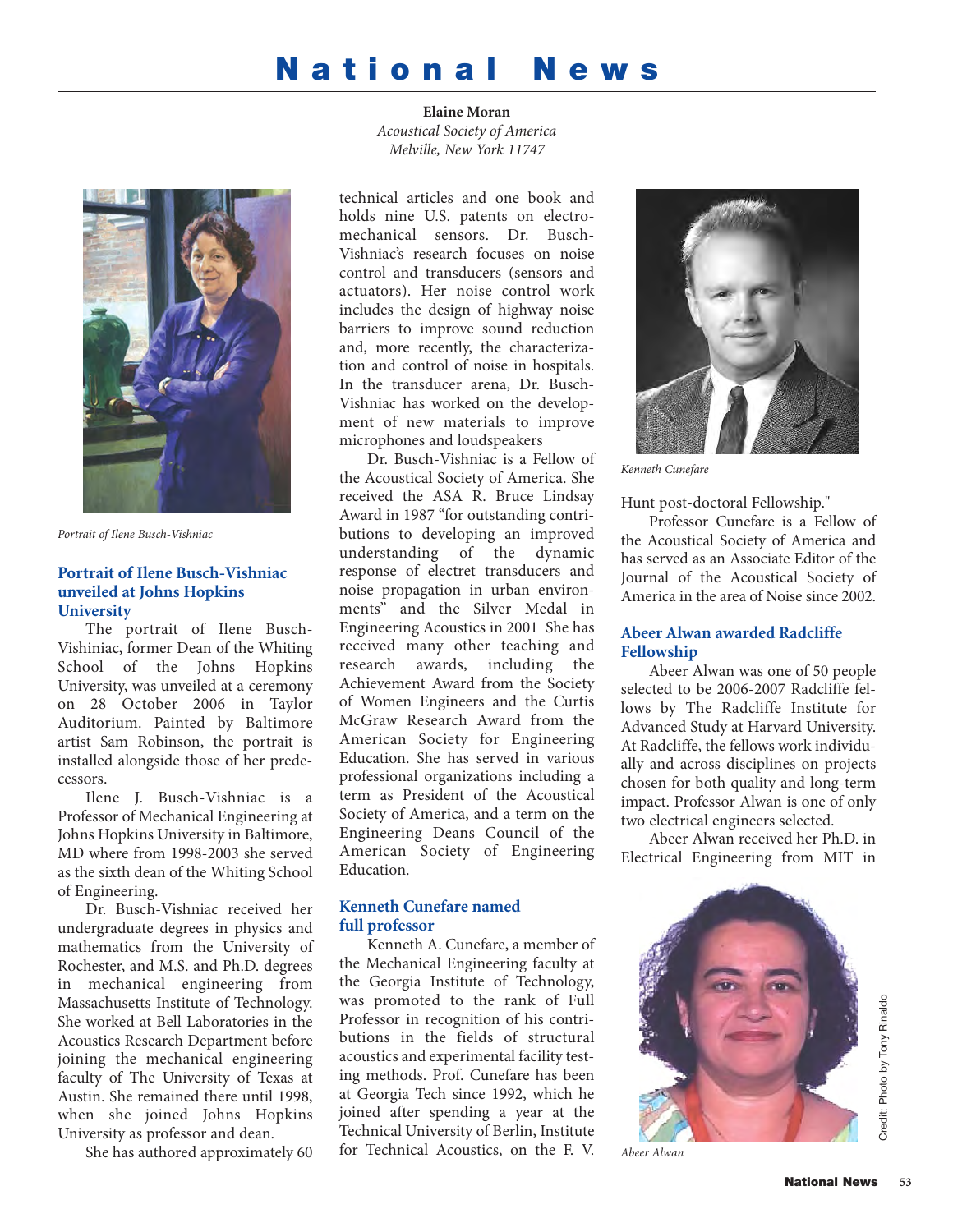# **National News**

**Elaine Moran** *Acoustical Society of America Melville, New York 11747*



*Portrait of Ilene Busch-Vishniac*

### **Portrait of Ilene Busch-Vishniac unveiled at Johns Hopkins University**

The portrait of Ilene Busch-Vishiniac, former Dean of the Whiting School of the Johns Hopkins University, was unveiled at a ceremony on 28 October 2006 in Taylor Auditorium. Painted by Baltimore artist Sam Robinson, the portrait is installed alongside those of her predecessors.

Ilene J. Busch-Vishniac is a Professor of Mechanical Engineering at Johns Hopkins University in Baltimore, MD where from 1998-2003 she served as the sixth dean of the Whiting School of Engineering.

Dr. Busch-Vishniac received her undergraduate degrees in physics and mathematics from the University of Rochester, and M.S. and Ph.D. degrees in mechanical engineering from Massachusetts Institute of Technology. She worked at Bell Laboratories in the Acoustics Research Department before joining the mechanical engineering faculty of The University of Texas at Austin. She remained there until 1998, when she joined Johns Hopkins University as professor and dean.

She has authored approximately 60

technical articles and one book and holds nine U.S. patents on electromechanical sensors. Dr. Busch-Vishniac's research focuses on noise control and transducers (sensors and actuators). Her noise control work includes the design of highway noise barriers to improve sound reduction and, more recently, the characterization and control of noise in hospitals. In the transducer arena, Dr. Busch-Vishniac has worked on the development of new materials to improve microphones and loudspeakers

Dr. Busch-Vishniac is a Fellow of the Acoustical Society of America. She received the ASA R. Bruce Lindsay Award in 1987 "for outstanding contributions to developing an improved understanding of the dynamic response of electret transducers and noise propagation in urban environments" and the Silver Medal in Engineering Acoustics in 2001 She has received many other teaching and research awards, including the Achievement Award from the Society of Women Engineers and the Curtis McGraw Research Award from the American Society for Engineering Education. She has served in various professional organizations including a term as President of the Acoustical Society of America, and a term on the Engineering Deans Council of the American Society of Engineering Education.

## **Kenneth Cunefare named full professor**

Kenneth A. Cunefare, a member of the Mechanical Engineering faculty at the Georgia Institute of Technology, was promoted to the rank of Full Professor in recognition of his contributions in the fields of structural acoustics and experimental facility testing methods. Prof. Cunefare has been at Georgia Tech since 1992, which he joined after spending a year at the Technical University of Berlin, Institute for Technical Acoustics, on the F. V.



*Kenneth Cunefare*

Hunt post-doctoral Fellowship."

Professor Cunefare is a Fellow of the Acoustical Society of America and has served as an Associate Editor of the Journal of the Acoustical Society of America in the area of Noise since 2002.

## **Abeer Alwan awarded Radcliffe Fellowship**

Abeer Alwan was one of 50 people selected to be 2006-2007 Radcliffe fellows by The Radcliffe Institute for Advanced Study at Harvard University. At Radcliffe, the fellows work individually and across disciplines on projects chosen for both quality and long-term impact. Professor Alwan is one of only two electrical engineers selected.

Abeer Alwan received her Ph.D. in Electrical Engineering from MIT in



*Abeer Alwan*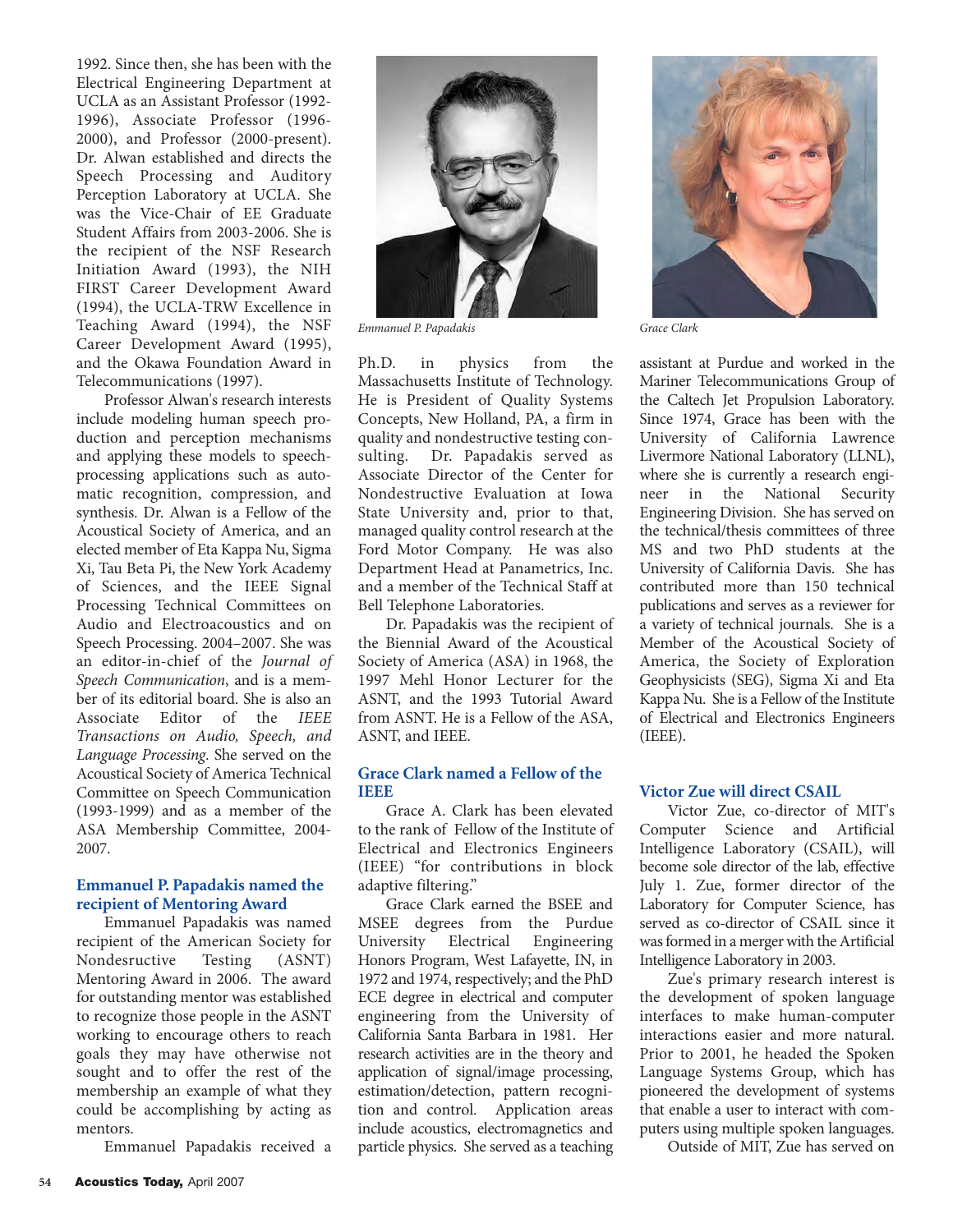1992. Since then, she has been with the Electrical Engineering Department at UCLA as an Assistant Professor (1992- 1996), Associate Professor (1996- 2000), and Professor (2000-present). Dr. Alwan established and directs the Speech Processing and Auditory Perception Laboratory at UCLA. She was the Vice-Chair of EE Graduate Student Affairs from 2003-2006. She is the recipient of the NSF Research Initiation Award (1993), the NIH FIRST Career Development Award (1994), the UCLA-TRW Excellence in Teaching Award (1994), the NSF Career Development Award (1995), and the Okawa Foundation Award in Telecommunications (1997).

Professor Alwan's research interests include modeling human speech production and perception mechanisms and applying these models to speechprocessing applications such as automatic recognition, compression, and synthesis. Dr. Alwan is a Fellow of the Acoustical Society of America, and an elected member of Eta Kappa Nu, Sigma Xi, Tau Beta Pi, the New York Academy of Sciences, and the IEEE Signal Processing Technical Committees on Audio and Electroacoustics and on Speech Processing. 2004–2007. She was an editor-in-chief of the *Journal of Speech Communication*, and is a member of its editorial board. She is also an Associate Editor of the *IEEE Transactions on Audio, Speech, and Language Processing*. She served on the Acoustical Society of America Technical Committee on Speech Communication (1993-1999) and as a member of the ASA Membership Committee, 2004- 2007.

#### **Emmanuel P. Papadakis named the recipient of Mentoring Award**

Emmanuel Papadakis was named recipient of the American Society for Nondesructive Testing (ASNT) Mentoring Award in 2006. The award for outstanding mentor was established to recognize those people in the ASNT working to encourage others to reach goals they may have otherwise not sought and to offer the rest of the membership an example of what they could be accomplishing by acting as mentors.

Emmanuel Papadakis received a



*Emmanuel P. Papadakis Grace Clark*

Ph.D. in physics from the Massachusetts Institute of Technology. He is President of Quality Systems Concepts, New Holland, PA, a firm in quality and nondestructive testing consulting. Dr. Papadakis served as Associate Director of the Center for Nondestructive Evaluation at Iowa State University and, prior to that, managed quality control research at the Ford Motor Company. He was also Department Head at Panametrics, Inc. and a member of the Technical Staff at Bell Telephone Laboratories.

Dr. Papadakis was the recipient of the Biennial Award of the Acoustical Society of America (ASA) in 1968, the 1997 Mehl Honor Lecturer for the ASNT, and the 1993 Tutorial Award from ASNT. He is a Fellow of the ASA, ASNT, and IEEE.

### **Grace Clark named a Fellow of the IEEE**

Grace A. Clark has been elevated to the rank of Fellow of the Institute of Electrical and Electronics Engineers (IEEE) "for contributions in block adaptive filtering."

Grace Clark earned the BSEE and MSEE degrees from the Purdue University Electrical Engineering Honors Program, West Lafayette, IN, in 1972 and 1974, respectively; and the PhD ECE degree in electrical and computer engineering from the University of California Santa Barbara in 1981. Her research activities are in the theory and application of signal/image processing, estimation/detection, pattern recognition and control. Application areas include acoustics, electromagnetics and particle physics. She served as a teaching



assistant at Purdue and worked in the Mariner Telecommunications Group of the Caltech Jet Propulsion Laboratory. Since 1974, Grace has been with the University of California Lawrence Livermore National Laboratory (LLNL), where she is currently a research engineer in the National Security Engineering Division. She has served on the technical/thesis committees of three MS and two PhD students at the University of California Davis. She has contributed more than 150 technical publications and serves as a reviewer for a variety of technical journals. She is a Member of the Acoustical Society of America, the Society of Exploration Geophysicists (SEG), Sigma Xi and Eta Kappa Nu. She is a Fellow of the Institute of Electrical and Electronics Engineers (IEEE).

#### **Victor Zue will direct CSAIL**

Victor Zue, co-director of MIT's Computer Science and Artificial Intelligence Laboratory (CSAIL), will become sole director of the lab, effective July 1. Zue, former director of the Laboratory for Computer Science, has served as co-director of CSAIL since it was formed in a merger with the Artificial Intelligence Laboratory in 2003.

Zue's primary research interest is the development of spoken language interfaces to make human-computer interactions easier and more natural. Prior to 2001, he headed the Spoken Language Systems Group, which has pioneered the development of systems that enable a user to interact with computers using multiple spoken languages.

Outside of MIT, Zue has served on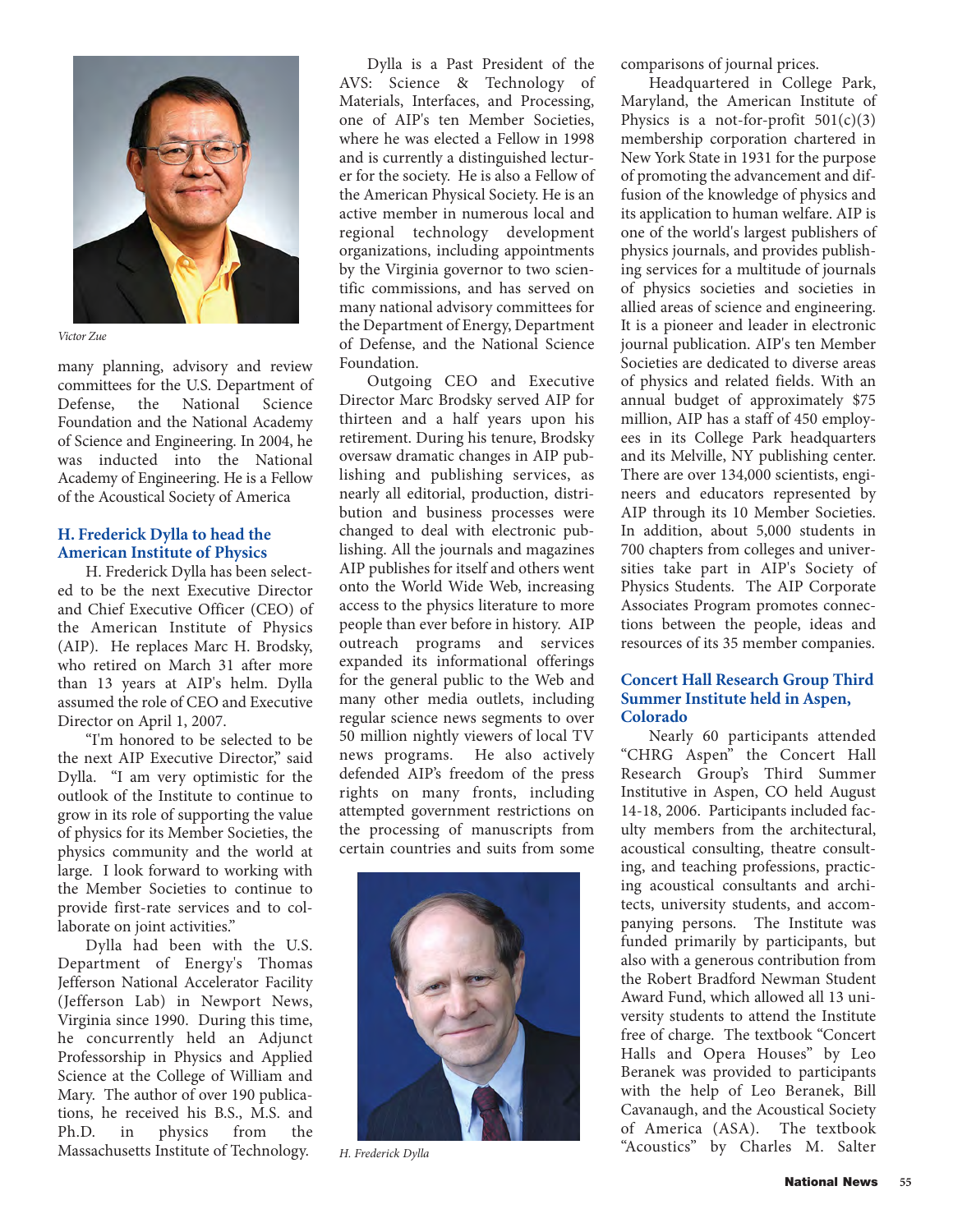

*Victor Zue*

many planning, advisory and review committees for the U.S. Department of Defense, the National Science Foundation and the National Academy of Science and Engineering. In 2004, he was inducted into the National Academy of Engineering. He is a Fellow of the Acoustical Society of America

#### **H. Frederick Dylla to head the American Institute of Physics**

H. Frederick Dylla has been selected to be the next Executive Director and Chief Executive Officer (CEO) of the American Institute of Physics (AIP). He replaces Marc H. Brodsky, who retired on March 31 after more than 13 years at AIP's helm. Dylla assumed the role of CEO and Executive Director on April 1, 2007.

"I'm honored to be selected to be the next AIP Executive Director," said Dylla. "I am very optimistic for the outlook of the Institute to continue to grow in its role of supporting the value of physics for its Member Societies, the physics community and the world at large. I look forward to working with the Member Societies to continue to provide first-rate services and to collaborate on joint activities."

Dylla had been with the U.S. Department of Energy's Thomas Jefferson National Accelerator Facility (Jefferson Lab) in Newport News, Virginia since 1990. During this time, he concurrently held an Adjunct Professorship in Physics and Applied Science at the College of William and Mary. The author of over 190 publications, he received his B.S., M.S. and Ph.D. in physics from the Massachusetts Institute of Technology.

Dylla is a Past President of the AVS: Science & Technology of Materials, Interfaces, and Processing, one of AIP's ten Member Societies, where he was elected a Fellow in 1998 and is currently a distinguished lecturer for the society. He is also a Fellow of the American Physical Society. He is an active member in numerous local and regional technology development organizations, including appointments by the Virginia governor to two scientific commissions, and has served on many national advisory committees for the Department of Energy, Department of Defense, and the National Science Foundation.

Outgoing CEO and Executive Director Marc Brodsky served AIP for thirteen and a half years upon his retirement. During his tenure, Brodsky oversaw dramatic changes in AIP publishing and publishing services, as nearly all editorial, production, distribution and business processes were changed to deal with electronic publishing. All the journals and magazines AIP publishes for itself and others went onto the World Wide Web, increasing access to the physics literature to more people than ever before in history. AIP outreach programs and services expanded its informational offerings for the general public to the Web and many other media outlets, including regular science news segments to over 50 million nightly viewers of local TV news programs. He also actively defended AIP's freedom of the press rights on many fronts, including attempted government restrictions on the processing of manuscripts from certain countries and suits from some



*H. Frederick Dylla*

comparisons of journal prices.

Headquartered in College Park, Maryland, the American Institute of Physics is a not-for-profit  $501(c)(3)$ membership corporation chartered in New York State in 1931 for the purpose of promoting the advancement and diffusion of the knowledge of physics and its application to human welfare. AIP is one of the world's largest publishers of physics journals, and provides publishing services for a multitude of journals of physics societies and societies in allied areas of science and engineering. It is a pioneer and leader in electronic journal publication. AIP's ten Member Societies are dedicated to diverse areas of physics and related fields. With an annual budget of approximately \$75 million, AIP has a staff of 450 employees in its College Park headquarters and its Melville, NY publishing center. There are over 134,000 scientists, engineers and educators represented by AIP through its 10 Member Societies. In addition, about 5,000 students in 700 chapters from colleges and universities take part in AIP's Society of Physics Students. The AIP Corporate Associates Program promotes connections between the people, ideas and resources of its 35 member companies.

## **Concert Hall Research Group Third Summer Institute held in Aspen, Colorado**

Nearly 60 participants attended "CHRG Aspen" the Concert Hall Research Group's Third Summer Institutive in Aspen, CO held August 14-18, 2006. Participants included faculty members from the architectural, acoustical consulting, theatre consulting, and teaching professions, practicing acoustical consultants and architects, university students, and accompanying persons. The Institute was funded primarily by participants, but also with a generous contribution from the Robert Bradford Newman Student Award Fund, which allowed all 13 university students to attend the Institute free of charge. The textbook "Concert Halls and Opera Houses" by Leo Beranek was provided to participants with the help of Leo Beranek, Bill Cavanaugh, and the Acoustical Society of America (ASA). The textbook "Acoustics" by Charles M. Salter